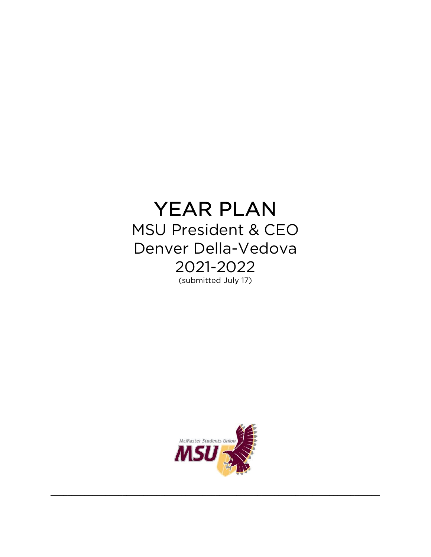# YEAR PLAN

MSU President & CEO Denver Della-Vedova 2021-2022 (submitted July 17)



**\_\_\_\_\_\_\_\_\_\_\_\_\_\_\_\_\_\_\_\_\_\_\_\_\_\_\_\_\_\_\_\_\_\_\_\_\_\_\_\_\_\_\_\_\_\_\_\_\_\_\_\_\_\_\_\_\_\_\_\_\_\_\_\_\_\_\_\_\_\_\_\_\_\_\_\_\_\_**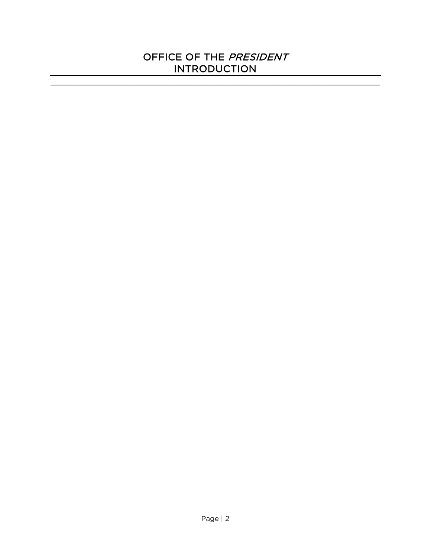#### OFFICE OF THE PRESIDENT INTRODUCTION

 $\mathcal{L}_\mathcal{L} = \{ \mathcal{L}_\mathcal{L} = \{ \mathcal{L}_\mathcal{L} = \{ \mathcal{L}_\mathcal{L} = \{ \mathcal{L}_\mathcal{L} = \{ \mathcal{L}_\mathcal{L} = \{ \mathcal{L}_\mathcal{L} = \{ \mathcal{L}_\mathcal{L} = \{ \mathcal{L}_\mathcal{L} = \{ \mathcal{L}_\mathcal{L} = \{ \mathcal{L}_\mathcal{L} = \{ \mathcal{L}_\mathcal{L} = \{ \mathcal{L}_\mathcal{L} = \{ \mathcal{L}_\mathcal{L} = \{ \mathcal{L}_\mathcal{$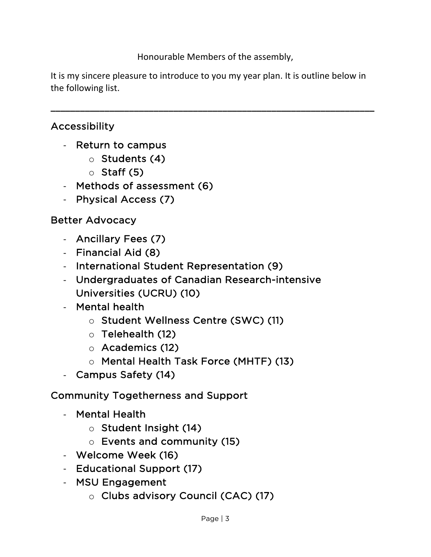Honourable Members of the assembly,

It is my sincere pleasure to introduce to you my year plan. It is outline below in the following list.

**\_\_\_\_\_\_\_\_\_\_\_\_\_\_\_\_\_\_\_\_\_\_\_\_\_\_\_\_\_\_\_\_\_\_\_\_\_\_\_\_\_\_\_\_\_\_\_\_\_\_\_\_\_\_\_\_\_\_\_\_\_\_\_\_\_\_**

## Accessibility

- Return to campus
	- o Students (4)
	- $\circ$  Staff (5)
- Methods of assessment (6)
- Physical Access (7)

## Better Advocacy

- Ancillary Fees (7)
- Financial Aid (8)
- International Student Representation (9)
- Undergraduates of Canadian Research-intensive Universities (UCRU) (10)
- Mental health
	- o Student Wellness Centre (SWC) (11)
	- o Telehealth (12)
	- o Academics (12)
	- o Mental Health Task Force (MHTF) (13)
- Campus Safety (14)

# Community Togetherness and Support

- Mental Health
	- o Student Insight (14)
	- o Events and community (15)
- Welcome Week (16)
- Educational Support (17)
- MSU Engagement
	- o Clubs advisory Council (CAC) (17)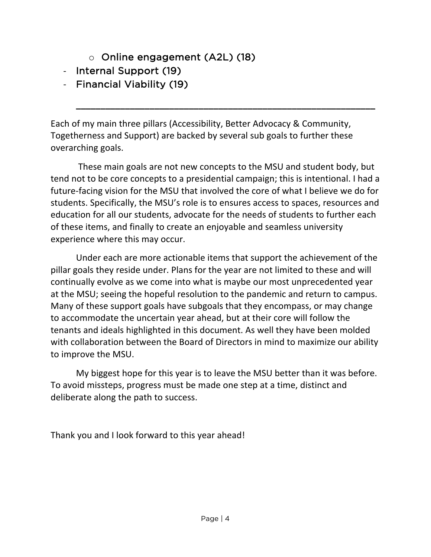- o Online engagement (A2L) (18)
- Internal Support (19)
- Financial Viability (19)

Each of my main three pillars (Accessibility, Better Advocacy & Community, Togetherness and Support) are backed by several sub goals to further these overarching goals.

**\_\_\_\_\_\_\_\_\_\_\_\_\_\_\_\_\_\_\_\_\_\_\_\_\_\_\_\_\_\_\_\_\_\_\_\_\_\_\_\_\_\_\_\_\_\_\_\_\_\_\_\_\_\_\_\_\_\_\_\_\_**

These main goals are not new concepts to the MSU and student body, but tend not to be core concepts to a presidential campaign; this is intentional. I had a future-facing vision for the MSU that involved the core of what I believe we do for students. Specifically, the MSU's role is to ensures access to spaces, resources and education for all our students, advocate for the needs of students to further each of these items, and finally to create an enjoyable and seamless university experience where this may occur.

Under each are more actionable items that support the achievement of the pillar goals they reside under. Plans for the year are not limited to these and will continually evolve as we come into what is maybe our most unprecedented year at the MSU; seeing the hopeful resolution to the pandemic and return to campus. Many of these support goals have subgoals that they encompass, or may change to accommodate the uncertain year ahead, but at their core will follow the tenants and ideals highlighted in this document. As well they have been molded with collaboration between the Board of Directors in mind to maximize our ability to improve the MSU.

My biggest hope for this year is to leave the MSU better than it was before. To avoid missteps, progress must be made one step at a time, distinct and deliberate along the path to success.

Thank you and I look forward to this year ahead!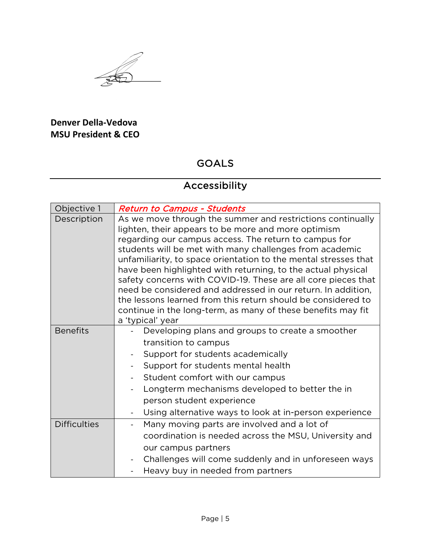#### **Denver Della-Vedova MSU President & CEO**

#### GOALS

# Accessibility

| Objective 1         | <b>Return to Campus - Students</b>                                                                                                                                                                                                                                                                                                                                                                                                                                                                                                                                                                                                                            |
|---------------------|---------------------------------------------------------------------------------------------------------------------------------------------------------------------------------------------------------------------------------------------------------------------------------------------------------------------------------------------------------------------------------------------------------------------------------------------------------------------------------------------------------------------------------------------------------------------------------------------------------------------------------------------------------------|
| Description         | As we move through the summer and restrictions continually<br>lighten, their appears to be more and more optimism<br>regarding our campus access. The return to campus for<br>students will be met with many challenges from academic<br>unfamiliarity, to space orientation to the mental stresses that<br>have been highlighted with returning, to the actual physical<br>safety concerns with COVID-19. These are all core pieces that<br>need be considered and addressed in our return. In addition,<br>the lessons learned from this return should be considered to<br>continue in the long-term, as many of these benefits may fit<br>a 'typical' year |
| <b>Benefits</b>     | Developing plans and groups to create a smoother                                                                                                                                                                                                                                                                                                                                                                                                                                                                                                                                                                                                              |
|                     | transition to campus                                                                                                                                                                                                                                                                                                                                                                                                                                                                                                                                                                                                                                          |
|                     | Support for students academically<br>$\overline{\phantom{0}}$                                                                                                                                                                                                                                                                                                                                                                                                                                                                                                                                                                                                 |
|                     | Support for students mental health                                                                                                                                                                                                                                                                                                                                                                                                                                                                                                                                                                                                                            |
|                     | Student comfort with our campus                                                                                                                                                                                                                                                                                                                                                                                                                                                                                                                                                                                                                               |
|                     | Longterm mechanisms developed to better the in                                                                                                                                                                                                                                                                                                                                                                                                                                                                                                                                                                                                                |
|                     | person student experience                                                                                                                                                                                                                                                                                                                                                                                                                                                                                                                                                                                                                                     |
|                     | Using alternative ways to look at in-person experience                                                                                                                                                                                                                                                                                                                                                                                                                                                                                                                                                                                                        |
| <b>Difficulties</b> | Many moving parts are involved and a lot of<br>$\overline{\phantom{0}}$                                                                                                                                                                                                                                                                                                                                                                                                                                                                                                                                                                                       |
|                     | coordination is needed across the MSU, University and                                                                                                                                                                                                                                                                                                                                                                                                                                                                                                                                                                                                         |
|                     | our campus partners                                                                                                                                                                                                                                                                                                                                                                                                                                                                                                                                                                                                                                           |
|                     | Challenges will come suddenly and in unforeseen ways<br>$\blacksquare$                                                                                                                                                                                                                                                                                                                                                                                                                                                                                                                                                                                        |
|                     | Heavy buy in needed from partners                                                                                                                                                                                                                                                                                                                                                                                                                                                                                                                                                                                                                             |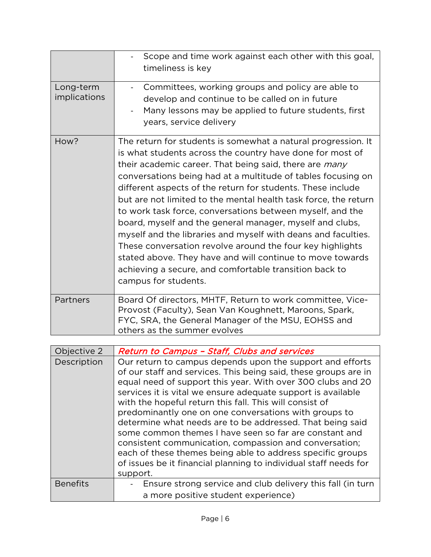|                                  | Scope and time work against each other with this goal,<br>timeliness is key                                                                                                                                                                                                                                                                                                                                                                                                                                                                                                                                                                                                                                                                                                                         |
|----------------------------------|-----------------------------------------------------------------------------------------------------------------------------------------------------------------------------------------------------------------------------------------------------------------------------------------------------------------------------------------------------------------------------------------------------------------------------------------------------------------------------------------------------------------------------------------------------------------------------------------------------------------------------------------------------------------------------------------------------------------------------------------------------------------------------------------------------|
| Long-term<br><i>implications</i> | Committees, working groups and policy are able to<br>$\blacksquare$<br>develop and continue to be called on in future<br>Many lessons may be applied to future students, first<br>years, service delivery                                                                                                                                                                                                                                                                                                                                                                                                                                                                                                                                                                                           |
| How?                             | The return for students is somewhat a natural progression. It<br>is what students across the country have done for most of<br>their academic career. That being said, there are <i>many</i><br>conversations being had at a multitude of tables focusing on<br>different aspects of the return for students. These include<br>but are not limited to the mental health task force, the return<br>to work task force, conversations between myself, and the<br>board, myself and the general manager, myself and clubs,<br>myself and the libraries and myself with deans and faculties.<br>These conversation revolve around the four key highlights<br>stated above. They have and will continue to move towards<br>achieving a secure, and comfortable transition back to<br>campus for students. |
| Partners                         | Board Of directors, MHTF, Return to work committee, Vice-<br>Provost (Faculty), Sean Van Koughnett, Maroons, Spark,<br>FYC, SRA, the General Manager of the MSU, EOHSS and<br>others as the summer evolves                                                                                                                                                                                                                                                                                                                                                                                                                                                                                                                                                                                          |

| Objective 2     | <b>Return to Campus - Staff, Clubs and services</b>                                                                                                                                                                                                                                                                                                                                                                                                                                                                                                                                                                                                                                                            |
|-----------------|----------------------------------------------------------------------------------------------------------------------------------------------------------------------------------------------------------------------------------------------------------------------------------------------------------------------------------------------------------------------------------------------------------------------------------------------------------------------------------------------------------------------------------------------------------------------------------------------------------------------------------------------------------------------------------------------------------------|
| Description     | Our return to campus depends upon the support and efforts<br>of our staff and services. This being said, these groups are in<br>equal need of support this year. With over 300 clubs and 20<br>services it is vital we ensure adequate support is available<br>with the hopeful return this fall. This will consist of<br>predominantly one on one conversations with groups to<br>determine what needs are to be addressed. That being said<br>some common themes I have seen so far are constant and<br>consistent communication, compassion and conversation;<br>each of these themes being able to address specific groups<br>of issues be it financial planning to individual staff needs for<br>support. |
| <b>Benefits</b> | Ensure strong service and club delivery this fall (in turn<br>a more positive student experience)                                                                                                                                                                                                                                                                                                                                                                                                                                                                                                                                                                                                              |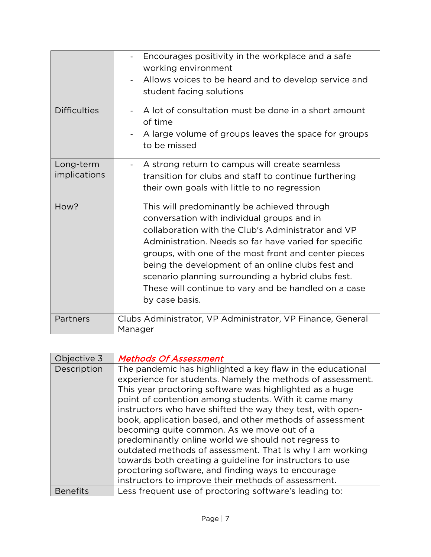|                                  | Encourages positivity in the workplace and a safe<br>working environment<br>Allows voices to be heard and to develop service and<br>student facing solutions                                                                                                                                                                                                                                                                                          |
|----------------------------------|-------------------------------------------------------------------------------------------------------------------------------------------------------------------------------------------------------------------------------------------------------------------------------------------------------------------------------------------------------------------------------------------------------------------------------------------------------|
| <b>Difficulties</b>              | A lot of consultation must be done in a short amount<br>of time<br>A large volume of groups leaves the space for groups<br>to be missed                                                                                                                                                                                                                                                                                                               |
| Long-term<br><i>implications</i> | A strong return to campus will create seamless<br>$\blacksquare$<br>transition for clubs and staff to continue furthering<br>their own goals with little to no regression                                                                                                                                                                                                                                                                             |
| How?                             | This will predominantly be achieved through<br>conversation with individual groups and in<br>collaboration with the Club's Administrator and VP<br>Administration. Needs so far have varied for specific<br>groups, with one of the most front and center pieces<br>being the development of an online clubs fest and<br>scenario planning surrounding a hybrid clubs fest.<br>These will continue to vary and be handled on a case<br>by case basis. |
| Partners                         | Clubs Administrator, VP Administrator, VP Finance, General<br>Manager                                                                                                                                                                                                                                                                                                                                                                                 |

| Objective 3     | <b>Methods Of Assessment</b>                                                                                                                                                                                                                                                                                                                                                                                                                                                                                                                                                                                                                                                                                     |
|-----------------|------------------------------------------------------------------------------------------------------------------------------------------------------------------------------------------------------------------------------------------------------------------------------------------------------------------------------------------------------------------------------------------------------------------------------------------------------------------------------------------------------------------------------------------------------------------------------------------------------------------------------------------------------------------------------------------------------------------|
| Description     | The pandemic has highlighted a key flaw in the educational<br>experience for students. Namely the methods of assessment.<br>This year proctoring software was highlighted as a huge<br>point of contention among students. With it came many<br>instructors who have shifted the way they test, with open-<br>book, application based, and other methods of assessment<br>becoming quite common. As we move out of a<br>predominantly online world we should not regress to<br>outdated methods of assessment. That Is why I am working<br>towards both creating a guideline for instructors to use<br>proctoring software, and finding ways to encourage<br>instructors to improve their methods of assessment. |
| <b>Benefits</b> | Less frequent use of proctoring software's leading to:                                                                                                                                                                                                                                                                                                                                                                                                                                                                                                                                                                                                                                                           |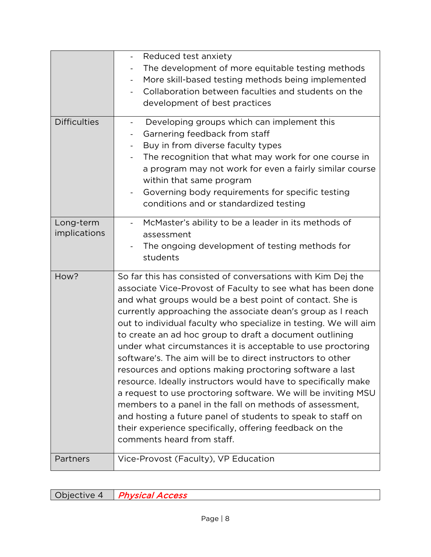|                           | Reduced test anxiety<br>The development of more equitable testing methods<br>$\overline{\phantom{0}}$<br>More skill-based testing methods being implemented<br>Collaboration between faculties and students on the<br>development of best practices                                                                                                                                                                                                                                                                                                                                                                                                                                                                                                                                                                                                                                                                                |
|---------------------------|------------------------------------------------------------------------------------------------------------------------------------------------------------------------------------------------------------------------------------------------------------------------------------------------------------------------------------------------------------------------------------------------------------------------------------------------------------------------------------------------------------------------------------------------------------------------------------------------------------------------------------------------------------------------------------------------------------------------------------------------------------------------------------------------------------------------------------------------------------------------------------------------------------------------------------|
| <b>Difficulties</b>       | Developing groups which can implement this<br>$\blacksquare$<br>Garnering feedback from staff<br>Buy in from diverse faculty types<br>The recognition that what may work for one course in<br>a program may not work for even a fairly similar course<br>within that same program<br>Governing body requirements for specific testing<br>conditions and or standardized testing                                                                                                                                                                                                                                                                                                                                                                                                                                                                                                                                                    |
| Long-term<br>implications | McMaster's ability to be a leader in its methods of<br>assessment<br>The ongoing development of testing methods for<br>students                                                                                                                                                                                                                                                                                                                                                                                                                                                                                                                                                                                                                                                                                                                                                                                                    |
| How?                      | So far this has consisted of conversations with Kim Dej the<br>associate Vice-Provost of Faculty to see what has been done<br>and what groups would be a best point of contact. She is<br>currently approaching the associate dean's group as I reach<br>out to individual faculty who specialize in testing. We will aim<br>to create an ad hoc group to draft a document outlining<br>under what circumstances it is acceptable to use proctoring<br>software's. The aim will be to direct instructors to other<br>resources and options making proctoring software a last<br>resource. Ideally instructors would have to specifically make<br>a request to use proctoring software. We will be inviting MSU<br>members to a panel in the fall on methods of assessment,<br>and hosting a future panel of students to speak to staff on<br>their experience specifically, offering feedback on the<br>comments heard from staff. |
| Partners                  | Vice-Provost (Faculty), VP Education                                                                                                                                                                                                                                                                                                                                                                                                                                                                                                                                                                                                                                                                                                                                                                                                                                                                                               |

Objective 4 | Physical Access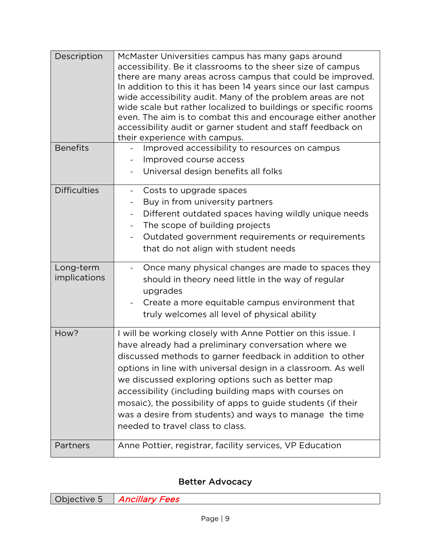| Description               | McMaster Universities campus has many gaps around<br>accessibility. Be it classrooms to the sheer size of campus<br>there are many areas across campus that could be improved.<br>In addition to this it has been 14 years since our last campus<br>wide accessibility audit. Many of the problem areas are not<br>wide scale but rather localized to buildings or specific rooms<br>even. The aim is to combat this and encourage either another<br>accessibility audit or garner student and staff feedback on<br>their experience with campus. |
|---------------------------|---------------------------------------------------------------------------------------------------------------------------------------------------------------------------------------------------------------------------------------------------------------------------------------------------------------------------------------------------------------------------------------------------------------------------------------------------------------------------------------------------------------------------------------------------|
| <b>Benefits</b>           | Improved accessibility to resources on campus<br>Improved course access<br>Universal design benefits all folks                                                                                                                                                                                                                                                                                                                                                                                                                                    |
| <b>Difficulties</b>       | Costs to upgrade spaces<br>$\qquad \qquad \blacksquare$<br>Buy in from university partners<br>$\qquad \qquad \blacksquare$<br>Different outdated spaces having wildly unique needs<br>The scope of building projects<br>Outdated government requirements or requirements<br>that do not align with student needs                                                                                                                                                                                                                                  |
| Long-term<br>implications | Once many physical changes are made to spaces they<br>should in theory need little in the way of regular<br>upgrades<br>Create a more equitable campus environment that<br>truly welcomes all level of physical ability                                                                                                                                                                                                                                                                                                                           |
| How?                      | I will be working closely with Anne Pottier on this issue. I<br>have already had a preliminary conversation where we<br>discussed methods to garner feedback in addition to other<br>options in line with universal design in a classroom. As well<br>we discussed exploring options such as better map<br>accessibility (including building maps with courses on<br>mosaic), the possibility of apps to guide students (if their<br>was a desire from students) and ways to manage the time<br>needed to travel class to class.                  |
| Partners                  | Anne Pottier, registrar, facility services, VP Education                                                                                                                                                                                                                                                                                                                                                                                                                                                                                          |

#### Better Advocacy

| Objective 5 Ancillary Fees |
|----------------------------|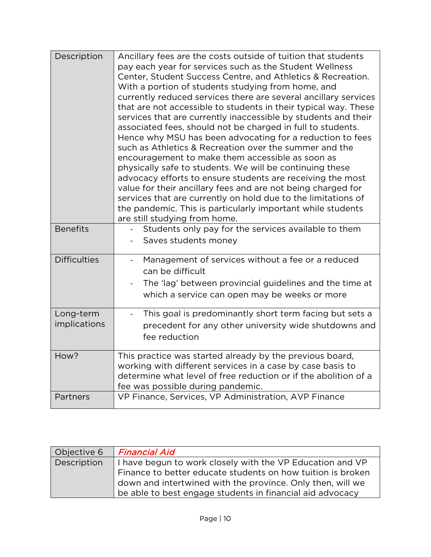| Description               | Ancillary fees are the costs outside of tuition that students<br>pay each year for services such as the Student Wellness<br>Center, Student Success Centre, and Athletics & Recreation.<br>With a portion of students studying from home, and<br>currently reduced services there are several ancillary services<br>that are not accessible to students in their typical way. These<br>services that are currently inaccessible by students and their<br>associated fees, should not be charged in full to students.<br>Hence why MSU has been advocating for a reduction to fees<br>such as Athletics & Recreation over the summer and the<br>encouragement to make them accessible as soon as<br>physically safe to students. We will be continuing these<br>advocacy efforts to ensure students are receiving the most<br>value for their ancillary fees and are not being charged for<br>services that are currently on hold due to the limitations of<br>the pandemic. This is particularly important while students<br>are still studying from home. |
|---------------------------|------------------------------------------------------------------------------------------------------------------------------------------------------------------------------------------------------------------------------------------------------------------------------------------------------------------------------------------------------------------------------------------------------------------------------------------------------------------------------------------------------------------------------------------------------------------------------------------------------------------------------------------------------------------------------------------------------------------------------------------------------------------------------------------------------------------------------------------------------------------------------------------------------------------------------------------------------------------------------------------------------------------------------------------------------------|
| <b>Benefits</b>           | Students only pay for the services available to them<br>Saves students money                                                                                                                                                                                                                                                                                                                                                                                                                                                                                                                                                                                                                                                                                                                                                                                                                                                                                                                                                                               |
| <b>Difficulties</b>       | Management of services without a fee or a reduced<br>$\blacksquare$<br>can be difficult<br>The 'lag' between provincial guidelines and the time at<br>which a service can open may be weeks or more                                                                                                                                                                                                                                                                                                                                                                                                                                                                                                                                                                                                                                                                                                                                                                                                                                                        |
| Long-term<br>implications | This goal is predominantly short term facing but sets a<br>$\overline{\phantom{0}}$<br>precedent for any other university wide shutdowns and<br>fee reduction                                                                                                                                                                                                                                                                                                                                                                                                                                                                                                                                                                                                                                                                                                                                                                                                                                                                                              |
| How?                      | This practice was started already by the previous board,<br>working with different services in a case by case basis to<br>determine what level of free reduction or if the abolition of a<br>fee was possible during pandemic.                                                                                                                                                                                                                                                                                                                                                                                                                                                                                                                                                                                                                                                                                                                                                                                                                             |
| Partners                  | VP Finance, Services, VP Administration, AVP Finance                                                                                                                                                                                                                                                                                                                                                                                                                                                                                                                                                                                                                                                                                                                                                                                                                                                                                                                                                                                                       |

| Objective 6 | <b>Financial Aid</b>                                        |
|-------------|-------------------------------------------------------------|
| Description | I have begun to work closely with the VP Education and VP   |
|             | Finance to better educate students on how tuition is broken |
|             | down and intertwined with the province. Only then, will we  |
|             | be able to best engage students in financial aid advocacy   |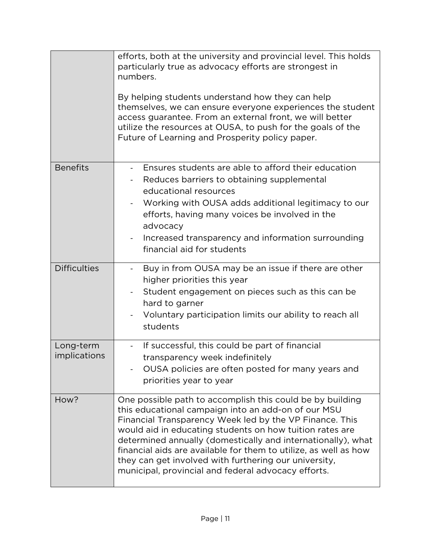|                           | efforts, both at the university and provincial level. This holds<br>particularly true as advocacy efforts are strongest in<br>numbers.<br>By helping students understand how they can help<br>themselves, we can ensure everyone experiences the student<br>access guarantee. From an external front, we will better<br>utilize the resources at OUSA, to push for the goals of the<br>Future of Learning and Prosperity policy paper.                                                      |
|---------------------------|---------------------------------------------------------------------------------------------------------------------------------------------------------------------------------------------------------------------------------------------------------------------------------------------------------------------------------------------------------------------------------------------------------------------------------------------------------------------------------------------|
| <b>Benefits</b>           | Ensures students are able to afford their education<br>Reduces barriers to obtaining supplemental<br>educational resources<br>Working with OUSA adds additional legitimacy to our<br>$\blacksquare$<br>efforts, having many voices be involved in the<br>advocacy<br>Increased transparency and information surrounding<br>financial aid for students                                                                                                                                       |
| <b>Difficulties</b>       | Buy in from OUSA may be an issue if there are other<br>$\blacksquare$<br>higher priorities this year<br>Student engagement on pieces such as this can be<br>hard to garner<br>Voluntary participation limits our ability to reach all<br>students                                                                                                                                                                                                                                           |
| Long-term<br>implications | If successful, this could be part of financial<br>$\blacksquare$<br>transparency week indefinitely<br>OUSA policies are often posted for many years and<br>priorities year to year                                                                                                                                                                                                                                                                                                          |
| How?                      | One possible path to accomplish this could be by building<br>this educational campaign into an add-on of our MSU<br>Financial Transparency Week led by the VP Finance. This<br>would aid in educating students on how tuition rates are<br>determined annually (domestically and internationally), what<br>financial aids are available for them to utilize, as well as how<br>they can get involved with furthering our university,<br>municipal, provincial and federal advocacy efforts. |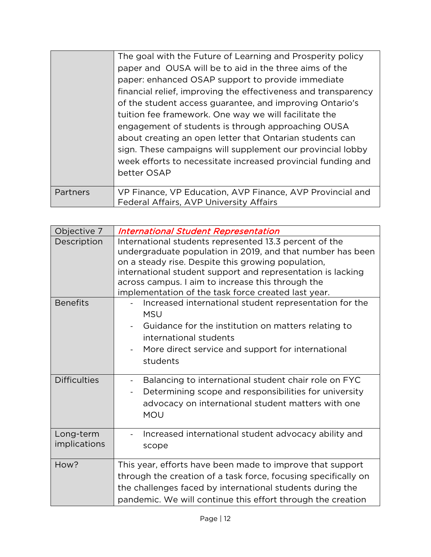|          | The goal with the Future of Learning and Prosperity policy<br>paper and OUSA will be to aid in the three aims of the<br>paper: enhanced OSAP support to provide immediate<br>financial relief, improving the effectiveness and transparency<br>of the student access guarantee, and improving Ontario's<br>tuition fee framework. One way we will facilitate the<br>engagement of students is through approaching OUSA<br>about creating an open letter that Ontarian students can<br>sign. These campaigns will supplement our provincial lobby<br>week efforts to necessitate increased provincial funding and<br>better OSAP |
|----------|---------------------------------------------------------------------------------------------------------------------------------------------------------------------------------------------------------------------------------------------------------------------------------------------------------------------------------------------------------------------------------------------------------------------------------------------------------------------------------------------------------------------------------------------------------------------------------------------------------------------------------|
| Partners | VP Finance, VP Education, AVP Finance, AVP Provincial and<br>Federal Affairs, AVP University Affairs                                                                                                                                                                                                                                                                                                                                                                                                                                                                                                                            |

| Objective 7               | <b>International Student Representation</b>                                                                                                                                                                                                                                                                                                           |
|---------------------------|-------------------------------------------------------------------------------------------------------------------------------------------------------------------------------------------------------------------------------------------------------------------------------------------------------------------------------------------------------|
| Description               | International students represented 13.3 percent of the<br>undergraduate population in 2019, and that number has been<br>on a steady rise. Despite this growing population,<br>international student support and representation is lacking<br>across campus. I aim to increase this through the<br>implementation of the task force created last year. |
| <b>Benefits</b>           | Increased international student representation for the<br><b>MSU</b><br>Guidance for the institution on matters relating to<br>international students<br>More direct service and support for international<br>students                                                                                                                                |
| <b>Difficulties</b>       | Balancing to international student chair role on FYC<br>$\qquad \qquad \blacksquare$<br>Determining scope and responsibilities for university<br>$\overline{\phantom{a}}$<br>advocacy on international student matters with one<br><b>MOU</b>                                                                                                         |
| Long-term<br>implications | Increased international student advocacy ability and<br>scope                                                                                                                                                                                                                                                                                         |
| How?                      | This year, efforts have been made to improve that support<br>through the creation of a task force, focusing specifically on<br>the challenges faced by international students during the<br>pandemic. We will continue this effort through the creation                                                                                               |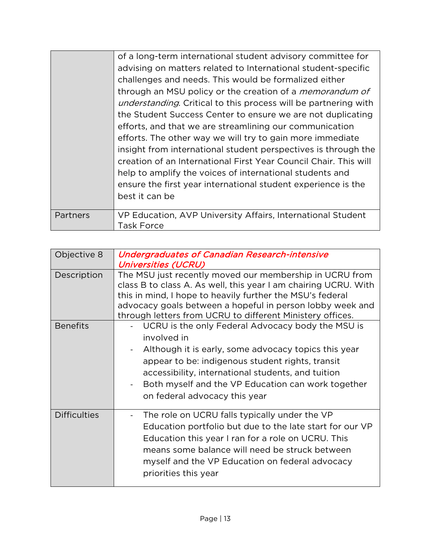|          | of a long-term international student advisory committee for             |
|----------|-------------------------------------------------------------------------|
|          | advising on matters related to International student-specific           |
|          | challenges and needs. This would be formalized either                   |
|          | through an MSU policy or the creation of a <i>memorandum of</i>         |
|          | <i>understanding</i> . Critical to this process will be partnering with |
|          | the Student Success Center to ensure we are not duplicating             |
|          | efforts, and that we are streamlining our communication                 |
|          | efforts. The other way we will try to gain more immediate               |
|          | insight from international student perspectives is through the          |
|          | creation of an International First Year Council Chair. This will        |
|          | help to amplify the voices of international students and                |
|          | ensure the first year international student experience is the           |
|          | best it can be                                                          |
|          |                                                                         |
| Partners | VP Education, AVP University Affairs, International Student             |
|          | Task Force                                                              |

| Objective 8         | <b>Undergraduates of Canadian Research-intensive</b><br><b>Universities (UCRU)</b>                                                                                                                                                                                                                                                                    |
|---------------------|-------------------------------------------------------------------------------------------------------------------------------------------------------------------------------------------------------------------------------------------------------------------------------------------------------------------------------------------------------|
| Description         | The MSU just recently moved our membership in UCRU from<br>class B to class A. As well, this year I am chairing UCRU. With<br>this in mind, I hope to heavily further the MSU's federal<br>advocacy goals between a hopeful in person lobby week and<br>through letters from UCRU to different Ministery offices.                                     |
| <b>Benefits</b>     | UCRU is the only Federal Advocacy body the MSU is<br>involved in<br>Although it is early, some advocacy topics this year<br>$\overline{\phantom{0}}$<br>appear to be: indigenous student rights, transit<br>accessibility, international students, and tuition<br>Both myself and the VP Education can work together<br>on federal advocacy this year |
| <b>Difficulties</b> | The role on UCRU falls typically under the VP<br>Education portfolio but due to the late start for our VP<br>Education this year I ran for a role on UCRU. This<br>means some balance will need be struck between<br>myself and the VP Education on federal advocacy<br>priorities this year                                                          |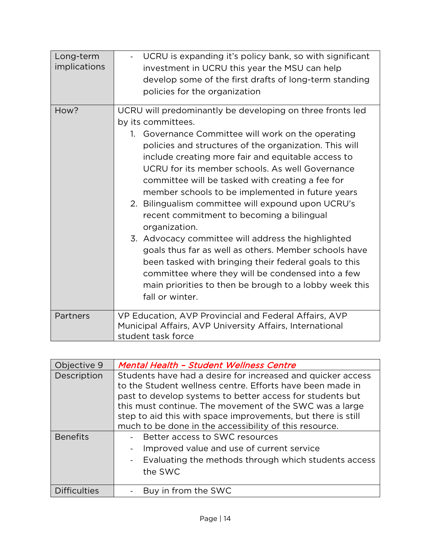| Long-term<br><i>implications</i> | UCRU is expanding it's policy bank, so with significant<br>investment in UCRU this year the MSU can help<br>develop some of the first drafts of long-term standing                                                                                                                                                                                                                                                                                                                                                                                                                                                                                                                                                                                                                                                                             |
|----------------------------------|------------------------------------------------------------------------------------------------------------------------------------------------------------------------------------------------------------------------------------------------------------------------------------------------------------------------------------------------------------------------------------------------------------------------------------------------------------------------------------------------------------------------------------------------------------------------------------------------------------------------------------------------------------------------------------------------------------------------------------------------------------------------------------------------------------------------------------------------|
|                                  | policies for the organization                                                                                                                                                                                                                                                                                                                                                                                                                                                                                                                                                                                                                                                                                                                                                                                                                  |
| How?                             | UCRU will predominantly be developing on three fronts led<br>by its committees.<br>1. Governance Committee will work on the operating<br>policies and structures of the organization. This will<br>include creating more fair and equitable access to<br>UCRU for its member schools. As well Governance<br>committee will be tasked with creating a fee for<br>member schools to be implemented in future years<br>2. Bilingualism committee will expound upon UCRU's<br>recent commitment to becoming a bilingual<br>organization.<br>3. Advocacy committee will address the highlighted<br>goals thus far as well as others. Member schools have<br>been tasked with bringing their federal goals to this<br>committee where they will be condensed into a few<br>main priorities to then be brough to a lobby week this<br>fall or winter. |
| Partners                         | VP Education, AVP Provincial and Federal Affairs, AVP<br>Municipal Affairs, AVP University Affairs, International<br>student task force                                                                                                                                                                                                                                                                                                                                                                                                                                                                                                                                                                                                                                                                                                        |

| Objective 9         | <b>Mental Health - Student Wellness Centre</b>                                                                                                                                                                                                                                                                                                                             |
|---------------------|----------------------------------------------------------------------------------------------------------------------------------------------------------------------------------------------------------------------------------------------------------------------------------------------------------------------------------------------------------------------------|
| Description         | Students have had a desire for increased and quicker access<br>to the Student wellness centre. Efforts have been made in<br>past to develop systems to better access for students but<br>this must continue. The movement of the SWC was a large<br>step to aid this with space improvements, but there is still<br>much to be done in the accessibility of this resource. |
| <b>Benefits</b>     | Better access to SWC resources<br>Improved value and use of current service<br>Evaluating the methods through which students access<br>the SWC                                                                                                                                                                                                                             |
| <b>Difficulties</b> | Buy in from the SWC                                                                                                                                                                                                                                                                                                                                                        |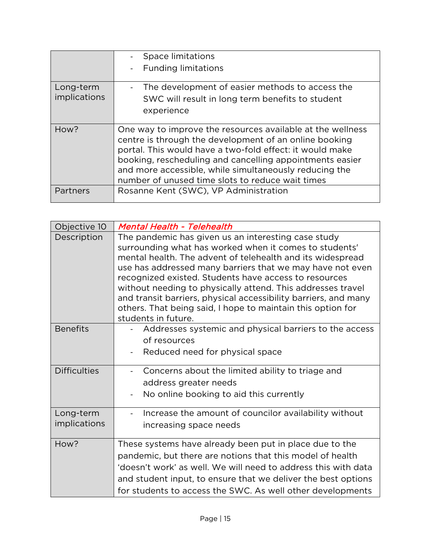|                           | Space limitations<br><b>Funding limitations</b><br>$\overline{\phantom{0}}$                                                                                                                                                                                                                                                                                |
|---------------------------|------------------------------------------------------------------------------------------------------------------------------------------------------------------------------------------------------------------------------------------------------------------------------------------------------------------------------------------------------------|
| Long-term<br>implications | The development of easier methods to access the<br>$\overline{\phantom{a}}$<br>SWC will result in long term benefits to student<br>experience                                                                                                                                                                                                              |
| How?                      | One way to improve the resources available at the wellness<br>centre is through the development of an online booking<br>portal. This would have a two-fold effect: it would make<br>booking, rescheduling and cancelling appointments easier<br>and more accessible, while simultaneously reducing the<br>number of unused time slots to reduce wait times |
| Partners                  | Rosanne Kent (SWC), VP Administration                                                                                                                                                                                                                                                                                                                      |

| Objective 10                     | <b>Mental Health - Telehealth</b>                                                                                                                                                                                                                                                                                                                                                                                                                                                                                         |
|----------------------------------|---------------------------------------------------------------------------------------------------------------------------------------------------------------------------------------------------------------------------------------------------------------------------------------------------------------------------------------------------------------------------------------------------------------------------------------------------------------------------------------------------------------------------|
| Description                      | The pandemic has given us an interesting case study<br>surrounding what has worked when it comes to students'<br>mental health. The advent of telehealth and its widespread<br>use has addressed many barriers that we may have not even<br>recognized existed. Students have access to resources<br>without needing to physically attend. This addresses travel<br>and transit barriers, physical accessibility barriers, and many<br>others. That being said, I hope to maintain this option for<br>students in future. |
| <b>Benefits</b>                  | Addresses systemic and physical barriers to the access<br>of resources<br>Reduced need for physical space                                                                                                                                                                                                                                                                                                                                                                                                                 |
| <b>Difficulties</b>              | Concerns about the limited ability to triage and<br>address greater needs<br>No online booking to aid this currently                                                                                                                                                                                                                                                                                                                                                                                                      |
| Long-term<br><i>implications</i> | Increase the amount of councilor availability without<br>increasing space needs                                                                                                                                                                                                                                                                                                                                                                                                                                           |
| How?                             | These systems have already been put in place due to the<br>pandemic, but there are notions that this model of health<br>'doesn't work' as well. We will need to address this with data<br>and student input, to ensure that we deliver the best options<br>for students to access the SWC. As well other developments                                                                                                                                                                                                     |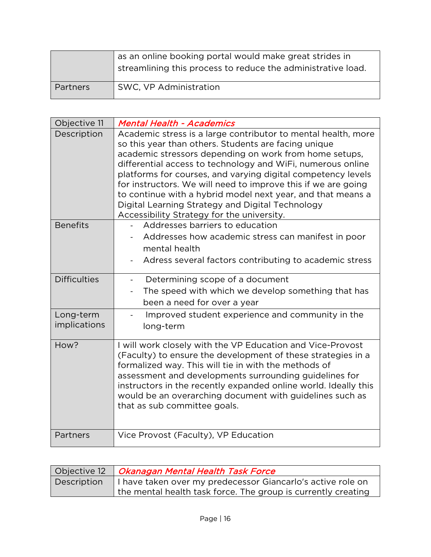|                 | as an online booking portal would make great strides in<br>streamlining this process to reduce the administrative load. |
|-----------------|-------------------------------------------------------------------------------------------------------------------------|
| <b>Partners</b> | SWC, VP Administration                                                                                                  |

| Objective 11              | <b>Mental Health - Academics</b>                                                                                                                                                                                                                                                                                                                                                                                                                                                                                                                 |
|---------------------------|--------------------------------------------------------------------------------------------------------------------------------------------------------------------------------------------------------------------------------------------------------------------------------------------------------------------------------------------------------------------------------------------------------------------------------------------------------------------------------------------------------------------------------------------------|
| Description               | Academic stress is a large contributor to mental health, more<br>so this year than others. Students are facing unique<br>academic stressors depending on work from home setups,<br>differential access to technology and WiFi, numerous online<br>platforms for courses, and varying digital competency levels<br>for instructors. We will need to improve this if we are going<br>to continue with a hybrid model next year, and that means a<br>Digital Learning Strategy and Digital Technology<br>Accessibility Strategy for the university. |
| <b>Benefits</b>           | Addresses barriers to education<br>Addresses how academic stress can manifest in poor<br>mental health<br>Adress several factors contributing to academic stress                                                                                                                                                                                                                                                                                                                                                                                 |
| <b>Difficulties</b>       | Determining scope of a document<br>The speed with which we develop something that has<br>been a need for over a year                                                                                                                                                                                                                                                                                                                                                                                                                             |
| Long-term<br>implications | Improved student experience and community in the<br>long-term                                                                                                                                                                                                                                                                                                                                                                                                                                                                                    |
| How?                      | I will work closely with the VP Education and Vice-Provost<br>(Faculty) to ensure the development of these strategies in a<br>formalized way. This will tie in with the methods of<br>assessment and developments surrounding guidelines for<br>instructors in the recently expanded online world. Ideally this<br>would be an overarching document with guidelines such as<br>that as sub committee goals.                                                                                                                                      |
| Partners                  | Vice Provost (Faculty), VP Education                                                                                                                                                                                                                                                                                                                                                                                                                                                                                                             |

|             | Objective 12   Okanagan Mental Health Task Force              |
|-------------|---------------------------------------------------------------|
| Description | I have taken over my predecessor Giancarlo's active role on   |
|             | the mental health task force. The group is currently creating |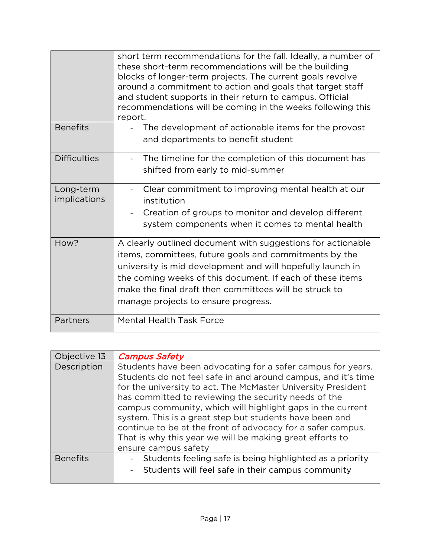|                                  | short term recommendations for the fall. Ideally, a number of<br>these short-term recommendations will be the building<br>blocks of longer-term projects. The current goals revolve<br>around a commitment to action and goals that target staff<br>and student supports in their return to campus. Official<br>recommendations will be coming in the weeks following this<br>report. |
|----------------------------------|---------------------------------------------------------------------------------------------------------------------------------------------------------------------------------------------------------------------------------------------------------------------------------------------------------------------------------------------------------------------------------------|
| <b>Benefits</b>                  | The development of actionable items for the provost<br>and departments to benefit student                                                                                                                                                                                                                                                                                             |
| <b>Difficulties</b>              | The timeline for the completion of this document has<br>shifted from early to mid-summer                                                                                                                                                                                                                                                                                              |
| Long-term<br><i>implications</i> | Clear commitment to improving mental health at our<br>institution<br>Creation of groups to monitor and develop different<br>system components when it comes to mental health                                                                                                                                                                                                          |
| How?                             | A clearly outlined document with suggestions for actionable<br>items, committees, future goals and commitments by the<br>university is mid development and will hopefully launch in<br>the coming weeks of this document. If each of these items<br>make the final draft then committees will be struck to<br>manage projects to ensure progress.                                     |
| Partners                         | <b>Mental Health Task Force</b>                                                                                                                                                                                                                                                                                                                                                       |

| Objective 13    | <b>Campus Safety</b>                                                                                                                                                                                                                                                                                                                                                                                                                                                                                     |
|-----------------|----------------------------------------------------------------------------------------------------------------------------------------------------------------------------------------------------------------------------------------------------------------------------------------------------------------------------------------------------------------------------------------------------------------------------------------------------------------------------------------------------------|
| Description     | Students have been advocating for a safer campus for years.<br>Students do not feel safe in and around campus, and it's time<br>for the university to act. The McMaster University President<br>has committed to reviewing the security needs of the<br>campus community, which will highlight gaps in the current<br>system. This is a great step but students have been and<br>continue to be at the front of advocacy for a safer campus.<br>That is why this year we will be making great efforts to |
|                 | ensure campus safety                                                                                                                                                                                                                                                                                                                                                                                                                                                                                     |
| <b>Benefits</b> | Students feeling safe is being highlighted as a priority                                                                                                                                                                                                                                                                                                                                                                                                                                                 |
|                 | Students will feel safe in their campus community                                                                                                                                                                                                                                                                                                                                                                                                                                                        |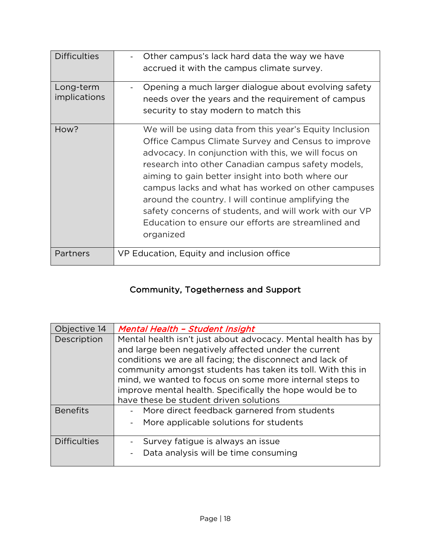| <b>Difficulties</b>              | Other campus's lack hard data the way we have<br>accrued it with the campus climate survey.                                                                                                                                                                                                                                                                                                                                                                                                                                |
|----------------------------------|----------------------------------------------------------------------------------------------------------------------------------------------------------------------------------------------------------------------------------------------------------------------------------------------------------------------------------------------------------------------------------------------------------------------------------------------------------------------------------------------------------------------------|
| Long-term<br><i>implications</i> | Opening a much larger dialogue about evolving safety<br>needs over the years and the requirement of campus<br>security to stay modern to match this                                                                                                                                                                                                                                                                                                                                                                        |
| How?                             | We will be using data from this year's Equity Inclusion<br>Office Campus Climate Survey and Census to improve<br>advocacy. In conjunction with this, we will focus on<br>research into other Canadian campus safety models,<br>aiming to gain better insight into both where our<br>campus lacks and what has worked on other campuses<br>around the country. I will continue amplifying the<br>safety concerns of students, and will work with our VP<br>Education to ensure our efforts are streamlined and<br>organized |
| Partners                         | VP Education, Equity and inclusion office                                                                                                                                                                                                                                                                                                                                                                                                                                                                                  |

## Community, Togetherness and Support

| Objective 14        | <b>Mental Health - Student Insight</b>                                                                                                                                                                                                                                                                                                                                                                            |
|---------------------|-------------------------------------------------------------------------------------------------------------------------------------------------------------------------------------------------------------------------------------------------------------------------------------------------------------------------------------------------------------------------------------------------------------------|
| Description         | Mental health isn't just about advocacy. Mental health has by<br>and large been negatively affected under the current<br>conditions we are all facing; the disconnect and lack of<br>community amongst students has taken its toll. With this in<br>mind, we wanted to focus on some more internal steps to<br>improve mental health. Specifically the hope would be to<br>have these be student driven solutions |
| <b>Benefits</b>     | More direct feedback garnered from students<br>More applicable solutions for students                                                                                                                                                                                                                                                                                                                             |
| <b>Difficulties</b> | Survey fatigue is always an issue<br>Data analysis will be time consuming                                                                                                                                                                                                                                                                                                                                         |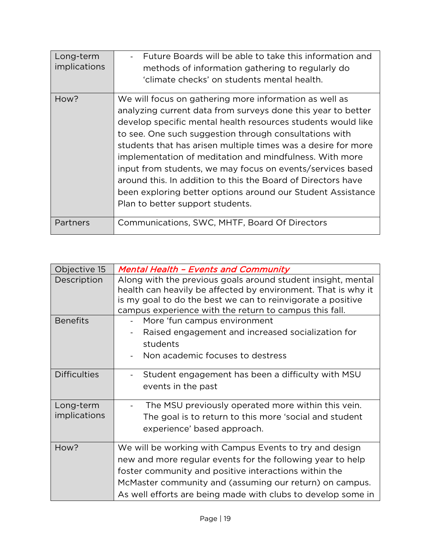| Long-term<br>implications | Future Boards will be able to take this information and<br>methods of information gathering to regularly do<br>'climate checks' on students mental health.                                                                                                                                                                                                                                                                                                                                                                                                                                                    |
|---------------------------|---------------------------------------------------------------------------------------------------------------------------------------------------------------------------------------------------------------------------------------------------------------------------------------------------------------------------------------------------------------------------------------------------------------------------------------------------------------------------------------------------------------------------------------------------------------------------------------------------------------|
| How?                      | We will focus on gathering more information as well as<br>analyzing current data from surveys done this year to better<br>develop specific mental health resources students would like<br>to see. One such suggestion through consultations with<br>students that has arisen multiple times was a desire for more<br>implementation of meditation and mindfulness. With more<br>input from students, we may focus on events/services based<br>around this. In addition to this the Board of Directors have<br>been exploring better options around our Student Assistance<br>Plan to better support students. |
| Partners                  | Communications, SWC, MHTF, Board Of Directors                                                                                                                                                                                                                                                                                                                                                                                                                                                                                                                                                                 |

| Objective 15              | <b>Mental Health - Events and Community</b>                                                                                                                                                                                                                                                               |
|---------------------------|-----------------------------------------------------------------------------------------------------------------------------------------------------------------------------------------------------------------------------------------------------------------------------------------------------------|
| Description               | Along with the previous goals around student insight, mental<br>health can heavily be affected by environment. That is why it<br>is my goal to do the best we can to reinvigorate a positive<br>campus experience with the return to campus this fall.                                                    |
| <b>Benefits</b>           | More 'fun campus environment<br>Raised engagement and increased socialization for<br>students<br>Non academic focuses to destress                                                                                                                                                                         |
| <b>Difficulties</b>       | Student engagement has been a difficulty with MSU<br>events in the past                                                                                                                                                                                                                                   |
| Long-term<br>implications | The MSU previously operated more within this vein.<br>The goal is to return to this more 'social and student<br>experience' based approach.                                                                                                                                                               |
| How?                      | We will be working with Campus Events to try and design<br>new and more regular events for the following year to help<br>foster community and positive interactions within the<br>McMaster community and (assuming our return) on campus.<br>As well efforts are being made with clubs to develop some in |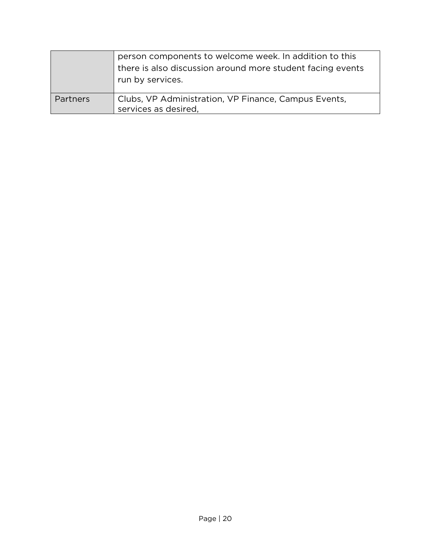|          | person components to welcome week. In addition to this<br>there is also discussion around more student facing events<br>run by services. |
|----------|------------------------------------------------------------------------------------------------------------------------------------------|
| Partners | Clubs, VP Administration, VP Finance, Campus Events,<br>services as desired,                                                             |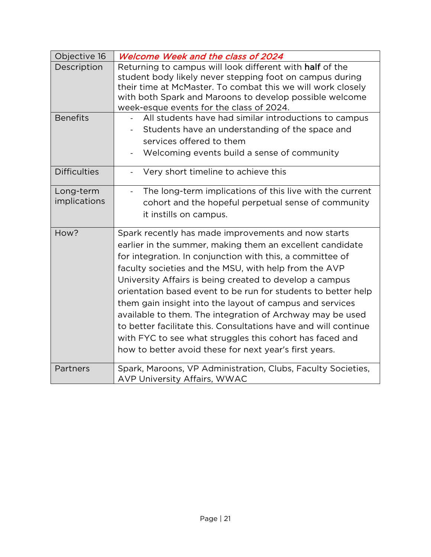| Objective 16              | Welcome Week and the class of 2024                                                                                                                                                                                                                                                                                                                                                                                                                                                                                                                                                                                                                                                   |
|---------------------------|--------------------------------------------------------------------------------------------------------------------------------------------------------------------------------------------------------------------------------------------------------------------------------------------------------------------------------------------------------------------------------------------------------------------------------------------------------------------------------------------------------------------------------------------------------------------------------------------------------------------------------------------------------------------------------------|
| Description               | Returning to campus will look different with half of the<br>student body likely never stepping foot on campus during<br>their time at McMaster. To combat this we will work closely<br>with both Spark and Maroons to develop possible welcome<br>week-esque events for the class of 2024.                                                                                                                                                                                                                                                                                                                                                                                           |
| <b>Benefits</b>           | All students have had similar introductions to campus<br>Students have an understanding of the space and<br>services offered to them<br>Welcoming events build a sense of community                                                                                                                                                                                                                                                                                                                                                                                                                                                                                                  |
| <b>Difficulties</b>       | Very short timeline to achieve this<br>$\overline{\phantom{0}}$                                                                                                                                                                                                                                                                                                                                                                                                                                                                                                                                                                                                                      |
| Long-term<br>implications | The long-term implications of this live with the current<br>$\overline{\phantom{0}}$<br>cohort and the hopeful perpetual sense of community<br>it instills on campus.                                                                                                                                                                                                                                                                                                                                                                                                                                                                                                                |
| How?                      | Spark recently has made improvements and now starts<br>earlier in the summer, making them an excellent candidate<br>for integration. In conjunction with this, a committee of<br>faculty societies and the MSU, with help from the AVP<br>University Affairs is being created to develop a campus<br>orientation based event to be run for students to better help<br>them gain insight into the layout of campus and services<br>available to them. The integration of Archway may be used<br>to better facilitate this. Consultations have and will continue<br>with FYC to see what struggles this cohort has faced and<br>how to better avoid these for next year's first years. |
| Partners                  | Spark, Maroons, VP Administration, Clubs, Faculty Societies,<br><b>AVP University Affairs, WWAC</b>                                                                                                                                                                                                                                                                                                                                                                                                                                                                                                                                                                                  |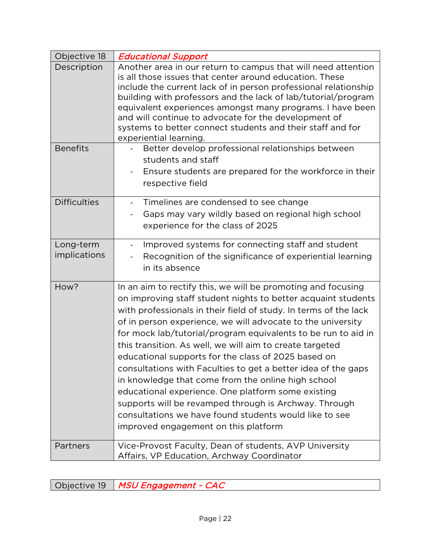| Objective 18                   | <b>Educational Support</b>                                                                                                                                                                                                                                                                                                                                                                                                                                                                                                                                                                                                                                                                                                                                                                   |
|--------------------------------|----------------------------------------------------------------------------------------------------------------------------------------------------------------------------------------------------------------------------------------------------------------------------------------------------------------------------------------------------------------------------------------------------------------------------------------------------------------------------------------------------------------------------------------------------------------------------------------------------------------------------------------------------------------------------------------------------------------------------------------------------------------------------------------------|
| Description<br><b>Benefits</b> | Another area in our return to campus that will need attention<br>is all those issues that center around education. These<br>include the current lack of in person professional relationship<br>building with professors and the lack of lab/tutorial/program<br>equivalent experiences amongst many programs. I have been<br>and will continue to advocate for the development of<br>systems to better connect students and their staff and for<br>experiential learning.<br>Better develop professional relationships between                                                                                                                                                                                                                                                               |
|                                | students and staff<br>Ensure students are prepared for the workforce in their<br>respective field                                                                                                                                                                                                                                                                                                                                                                                                                                                                                                                                                                                                                                                                                            |
| <b>Difficulties</b>            | Timelines are condensed to see change<br>$\blacksquare$<br>Gaps may vary wildly based on regional high school<br>experience for the class of 2025                                                                                                                                                                                                                                                                                                                                                                                                                                                                                                                                                                                                                                            |
| Long-term<br>implications      | Improved systems for connecting staff and student<br>$\qquad \qquad \blacksquare$<br>Recognition of the significance of experiential learning<br>in its absence                                                                                                                                                                                                                                                                                                                                                                                                                                                                                                                                                                                                                              |
| How?                           | In an aim to rectify this, we will be promoting and focusing<br>on improving staff student nights to better acquaint students<br>with professionals in their field of study. In terms of the lack<br>of in person experience, we will advocate to the university<br>for mock lab/tutorial/program equivalents to be run to aid in<br>this transition. As well, we will aim to create targeted<br>educational supports for the class of 2025 based on<br>consultations with Faculties to get a better idea of the gaps<br>in knowledge that come from the online high school<br>educational experience. One platform some existing<br>supports will be revamped through is Archway. Through<br>consultations we have found students would like to see<br>improved engagement on this platform |
| Partners                       | Vice-Provost Faculty, Dean of students, AVP University<br>Affairs, VP Education, Archway Coordinator                                                                                                                                                                                                                                                                                                                                                                                                                                                                                                                                                                                                                                                                                         |

Objective 19 | MSU Engagement - CAC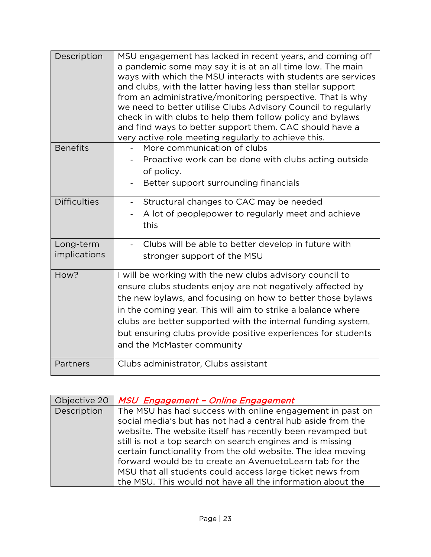| Description               | MSU engagement has lacked in recent years, and coming off<br>a pandemic some may say it is at an all time low. The main<br>ways with which the MSU interacts with students are services<br>and clubs, with the latter having less than stellar support<br>from an administrative/monitoring perspective. That is why<br>we need to better utilise Clubs Advisory Council to regularly<br>check in with clubs to help them follow policy and bylaws<br>and find ways to better support them. CAC should have a<br>very active role meeting regularly to achieve this. |
|---------------------------|----------------------------------------------------------------------------------------------------------------------------------------------------------------------------------------------------------------------------------------------------------------------------------------------------------------------------------------------------------------------------------------------------------------------------------------------------------------------------------------------------------------------------------------------------------------------|
| <b>Benefits</b>           | More communication of clubs<br>$\blacksquare$<br>Proactive work can be done with clubs acting outside<br>of policy.<br>Better support surrounding financials                                                                                                                                                                                                                                                                                                                                                                                                         |
| <b>Difficulties</b>       | Structural changes to CAC may be needed<br>$\blacksquare$<br>A lot of peoplepower to regularly meet and achieve<br>this                                                                                                                                                                                                                                                                                                                                                                                                                                              |
| Long-term<br>implications | Clubs will be able to better develop in future with<br>stronger support of the MSU                                                                                                                                                                                                                                                                                                                                                                                                                                                                                   |
| How?                      | I will be working with the new clubs advisory council to<br>ensure clubs students enjoy are not negatively affected by<br>the new bylaws, and focusing on how to better those bylaws<br>in the coming year. This will aim to strike a balance where<br>clubs are better supported with the internal funding system,<br>but ensuring clubs provide positive experiences for students<br>and the McMaster community                                                                                                                                                    |
| Partners                  | Clubs administrator, Clubs assistant                                                                                                                                                                                                                                                                                                                                                                                                                                                                                                                                 |

| Objective 20 | MSU Engagement - Online Engagement                          |
|--------------|-------------------------------------------------------------|
| Description  | The MSU has had success with online engagement in past on   |
|              | social media's but has not had a central hub aside from the |
|              | website. The website itself has recently been revamped but  |
|              | still is not a top search on search engines and is missing  |
|              | certain functionality from the old website. The idea moving |
|              | forward would be to create an AvenuetoLearn tab for the     |
|              | MSU that all students could access large ticket news from   |
|              | the MSU. This would not have all the information about the  |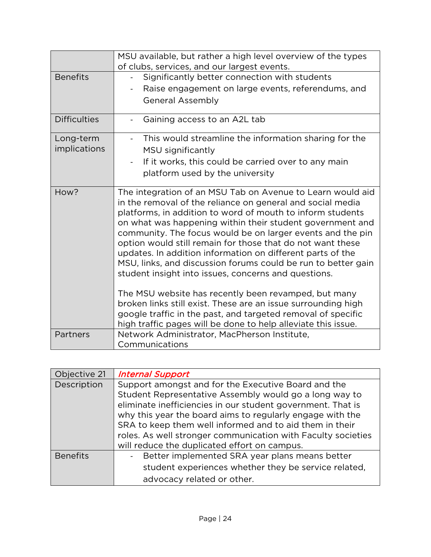|                                  | MSU available, but rather a high level overview of the types<br>of clubs, services, and our largest events.                                                                                                                                                                                                                                                                                                                                                                                                                                                                                                                                                                                                                                                                                                                      |
|----------------------------------|----------------------------------------------------------------------------------------------------------------------------------------------------------------------------------------------------------------------------------------------------------------------------------------------------------------------------------------------------------------------------------------------------------------------------------------------------------------------------------------------------------------------------------------------------------------------------------------------------------------------------------------------------------------------------------------------------------------------------------------------------------------------------------------------------------------------------------|
| <b>Benefits</b>                  | Significantly better connection with students<br>Raise engagement on large events, referendums, and<br><b>General Assembly</b>                                                                                                                                                                                                                                                                                                                                                                                                                                                                                                                                                                                                                                                                                                   |
| <b>Difficulties</b>              | Gaining access to an A2L tab                                                                                                                                                                                                                                                                                                                                                                                                                                                                                                                                                                                                                                                                                                                                                                                                     |
| Long-term<br><i>implications</i> | This would streamline the information sharing for the<br>MSU significantly<br>If it works, this could be carried over to any main<br>platform used by the university                                                                                                                                                                                                                                                                                                                                                                                                                                                                                                                                                                                                                                                             |
| How?                             | The integration of an MSU Tab on Avenue to Learn would aid<br>in the removal of the reliance on general and social media<br>platforms, in addition to word of mouth to inform students<br>on what was happening within their student government and<br>community. The focus would be on larger events and the pin<br>option would still remain for those that do not want these<br>updates. In addition information on different parts of the<br>MSU, links, and discussion forums could be run to better gain<br>student insight into issues, concerns and questions.<br>The MSU website has recently been revamped, but many<br>broken links still exist. These are an issue surrounding high<br>google traffic in the past, and targeted removal of specific<br>high traffic pages will be done to help alleviate this issue. |
| Partners                         | Network Administrator, MacPherson Institute,<br>Communications                                                                                                                                                                                                                                                                                                                                                                                                                                                                                                                                                                                                                                                                                                                                                                   |

| Objective 21    | <b>Internal Support</b>                                      |
|-----------------|--------------------------------------------------------------|
| Description     | Support amongst and for the Executive Board and the          |
|                 | Student Representative Assembly would go a long way to       |
|                 | eliminate inefficiencies in our student government. That is  |
|                 | why this year the board aims to regularly engage with the    |
|                 | SRA to keep them well informed and to aid them in their      |
|                 | roles. As well stronger communication with Faculty societies |
|                 | will reduce the duplicated effort on campus.                 |
| <b>Benefits</b> | Better implemented SRA year plans means better               |
|                 | student experiences whether they be service related,         |
|                 | advocacy related or other.                                   |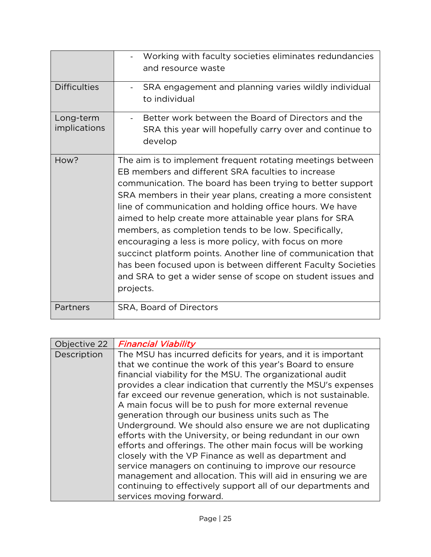|                           | Working with faculty societies eliminates redundancies<br>and resource waste                                                                                                                                                                                                                                                                                                                                                                                                                                                                                                                                                                                                                      |
|---------------------------|---------------------------------------------------------------------------------------------------------------------------------------------------------------------------------------------------------------------------------------------------------------------------------------------------------------------------------------------------------------------------------------------------------------------------------------------------------------------------------------------------------------------------------------------------------------------------------------------------------------------------------------------------------------------------------------------------|
| <b>Difficulties</b>       | SRA engagement and planning varies wildly individual<br>to individual                                                                                                                                                                                                                                                                                                                                                                                                                                                                                                                                                                                                                             |
| Long-term<br>implications | Better work between the Board of Directors and the<br>SRA this year will hopefully carry over and continue to<br>develop                                                                                                                                                                                                                                                                                                                                                                                                                                                                                                                                                                          |
| How?                      | The aim is to implement frequent rotating meetings between<br>EB members and different SRA faculties to increase<br>communication. The board has been trying to better support<br>SRA members in their year plans, creating a more consistent<br>line of communication and holding office hours. We have<br>aimed to help create more attainable year plans for SRA<br>members, as completion tends to be low. Specifically,<br>encouraging a less is more policy, with focus on more<br>succinct platform points. Another line of communication that<br>has been focused upon is between different Faculty Societies<br>and SRA to get a wider sense of scope on student issues and<br>projects. |
| Partners                  | SRA, Board of Directors                                                                                                                                                                                                                                                                                                                                                                                                                                                                                                                                                                                                                                                                           |

| Objective 22 | <b>Financial Viability</b>                                    |
|--------------|---------------------------------------------------------------|
| Description  | The MSU has incurred deficits for years, and it is important  |
|              | that we continue the work of this year's Board to ensure      |
|              | financial viability for the MSU. The organizational audit     |
|              | provides a clear indication that currently the MSU's expenses |
|              | far exceed our revenue generation, which is not sustainable.  |
|              | A main focus will be to push for more external revenue        |
|              | generation through our business units such as The             |
|              | Underground. We should also ensure we are not duplicating     |
|              | efforts with the University, or being redundant in our own    |
|              | efforts and offerings. The other main focus will be working   |
|              | closely with the VP Finance as well as department and         |
|              | service managers on continuing to improve our resource        |
|              | management and allocation. This will aid in ensuring we are   |
|              | continuing to effectively support all of our departments and  |
|              | services moving forward.                                      |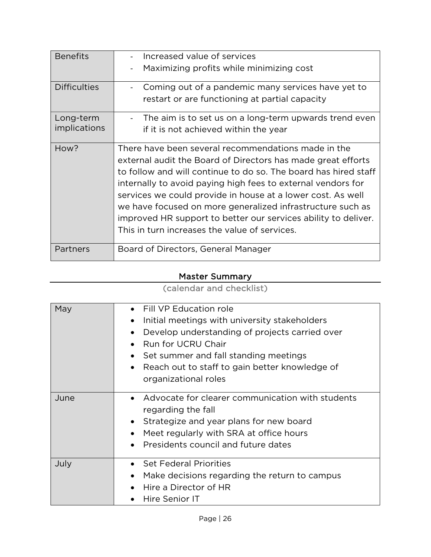| <b>Benefits</b>                  | Increased value of services<br>Maximizing profits while minimizing cost                                                                                                                                                                                                                                                                                                                                                                                                                                |
|----------------------------------|--------------------------------------------------------------------------------------------------------------------------------------------------------------------------------------------------------------------------------------------------------------------------------------------------------------------------------------------------------------------------------------------------------------------------------------------------------------------------------------------------------|
| <b>Difficulties</b>              | Coming out of a pandemic many services have yet to<br>restart or are functioning at partial capacity                                                                                                                                                                                                                                                                                                                                                                                                   |
| Long-term<br><i>implications</i> | The aim is to set us on a long-term upwards trend even<br>if it is not achieved within the year                                                                                                                                                                                                                                                                                                                                                                                                        |
| How?                             | There have been several recommendations made in the<br>external audit the Board of Directors has made great efforts<br>to follow and will continue to do so. The board has hired staff<br>internally to avoid paying high fees to external vendors for<br>services we could provide in house at a lower cost. As well<br>we have focused on more generalized infrastructure such as<br>improved HR support to better our services ability to deliver.<br>This in turn increases the value of services. |
| Partners                         | Board of Directors, General Manager                                                                                                                                                                                                                                                                                                                                                                                                                                                                    |

## Master Summary

(calendar and checklist)

| May  | Fill VP Education role<br>$\bullet$<br>Initial meetings with university stakeholders<br>$\bullet$<br>Develop understanding of projects carried over<br>Run for UCRU Chair<br>Set summer and fall standing meetings<br>$\bullet$<br>Reach out to staff to gain better knowledge of<br>$\bullet$<br>organizational roles |
|------|------------------------------------------------------------------------------------------------------------------------------------------------------------------------------------------------------------------------------------------------------------------------------------------------------------------------|
| June | Advocate for clearer communication with students<br>$\bullet$<br>regarding the fall<br>Strategize and year plans for new board<br>$\bullet$<br>Meet regularly with SRA at office hours<br>$\bullet$<br>Presidents council and future dates<br>$\bullet$                                                                |
| July | <b>Set Federal Priorities</b><br>Make decisions regarding the return to campus<br>$\bullet$<br>Hire a Director of HR<br>Hire Senior IT                                                                                                                                                                                 |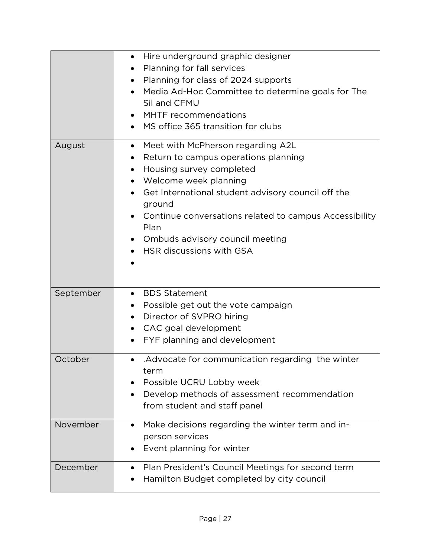|           | Hire underground graphic designer<br>$\bullet$<br>Planning for fall services<br>$\bullet$<br>Planning for class of 2024 supports<br>Media Ad-Hoc Committee to determine goals for The<br>Sil and CFMU<br>MHTF recommendations<br>MS office 365 transition for clubs<br>$\bullet$                                                                                                      |
|-----------|---------------------------------------------------------------------------------------------------------------------------------------------------------------------------------------------------------------------------------------------------------------------------------------------------------------------------------------------------------------------------------------|
| August    | • Meet with McPherson regarding A2L<br>Return to campus operations planning<br>$\bullet$<br>Housing survey completed<br>$\bullet$<br>Welcome week planning<br>$\bullet$<br>Get International student advisory council off the<br>$\bullet$<br>ground<br>Continue conversations related to campus Accessibility<br>Plan<br>Ombuds advisory council meeting<br>HSR discussions with GSA |
| September | <b>BDS Statement</b><br>$\bullet$<br>Possible get out the vote campaign<br>$\bullet$<br>Director of SVPRO hiring<br>$\bullet$<br>CAC goal development<br>$\bullet$<br>FYF planning and development<br>$\bullet$                                                                                                                                                                       |
| October   | Advocate for communication regarding the winter<br>$\bullet$<br>term<br>Possible UCRU Lobby week<br>Develop methods of assessment recommendation<br>$\bullet$<br>from student and staff panel                                                                                                                                                                                         |
| November  | Make decisions regarding the winter term and in-<br>$\bullet$<br>person services<br>Event planning for winter                                                                                                                                                                                                                                                                         |
| December  | Plan President's Council Meetings for second term<br>Hamilton Budget completed by city council                                                                                                                                                                                                                                                                                        |